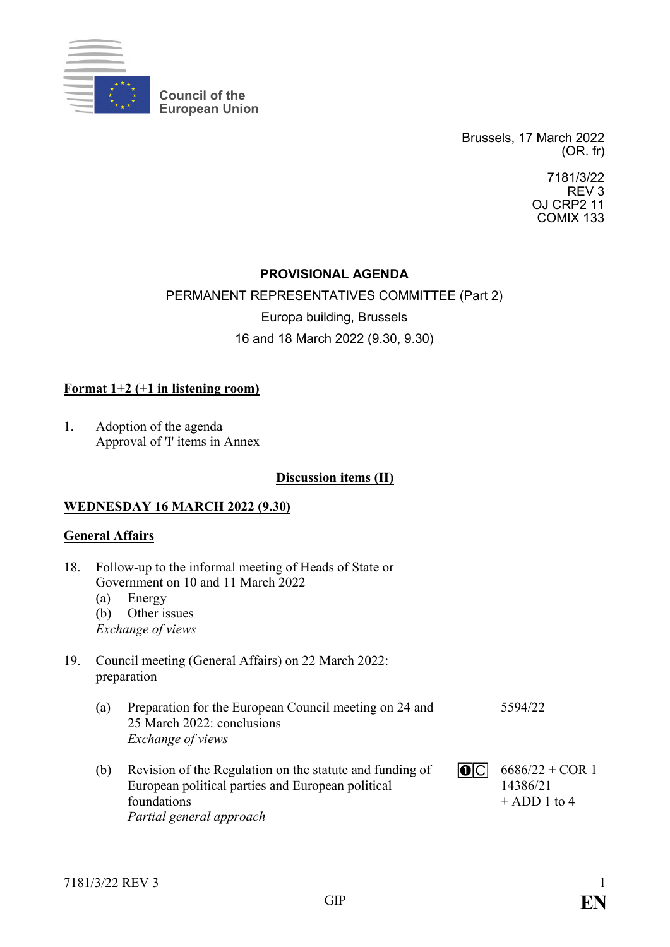

**Council of the European Union**

> Brussels, 17 March 2022 (OR. fr)

> > 7181/3/22 REV 3 OJ CRP2 11 COMIX 133

## **PROVISIONAL AGENDA**

## PERMANENT REPRESENTATIVES COMMITTEE (Part 2)

Europa building, Brussels

## 16 and 18 March 2022 (9.30, 9.30)

## **Format 1+2 (+1 in listening room)**

1. Adoption of the agenda Approval of 'I' items in Annex

#### **Discussion items (II)**

#### **WEDNESDAY 16 MARCH 2022 (9.30)**

#### **General Affairs**

| 18. | Follow-up to the informal meeting of Heads of State or<br>Government on 10 and 11 March 2022 |                                                                                                                                                          |  |                                                 |  |  |
|-----|----------------------------------------------------------------------------------------------|----------------------------------------------------------------------------------------------------------------------------------------------------------|--|-------------------------------------------------|--|--|
|     | (a)                                                                                          | Energy                                                                                                                                                   |  |                                                 |  |  |
|     | (b)                                                                                          | Other issues                                                                                                                                             |  |                                                 |  |  |
|     |                                                                                              | Exchange of views                                                                                                                                        |  |                                                 |  |  |
| 19. |                                                                                              | Council meeting (General Affairs) on 22 March 2022:<br>preparation                                                                                       |  |                                                 |  |  |
|     | (a)                                                                                          | Preparation for the European Council meeting on 24 and<br>25 March 2022: conclusions<br><i>Exchange of views</i>                                         |  | 5594/22                                         |  |  |
|     | (b)                                                                                          | Revision of the Regulation on the statute and funding of<br>European political parties and European political<br>foundations<br>Partial general approach |  | $6686/22 + COR$ 1<br>14386/21<br>$+$ ADD 1 to 4 |  |  |
|     |                                                                                              |                                                                                                                                                          |  |                                                 |  |  |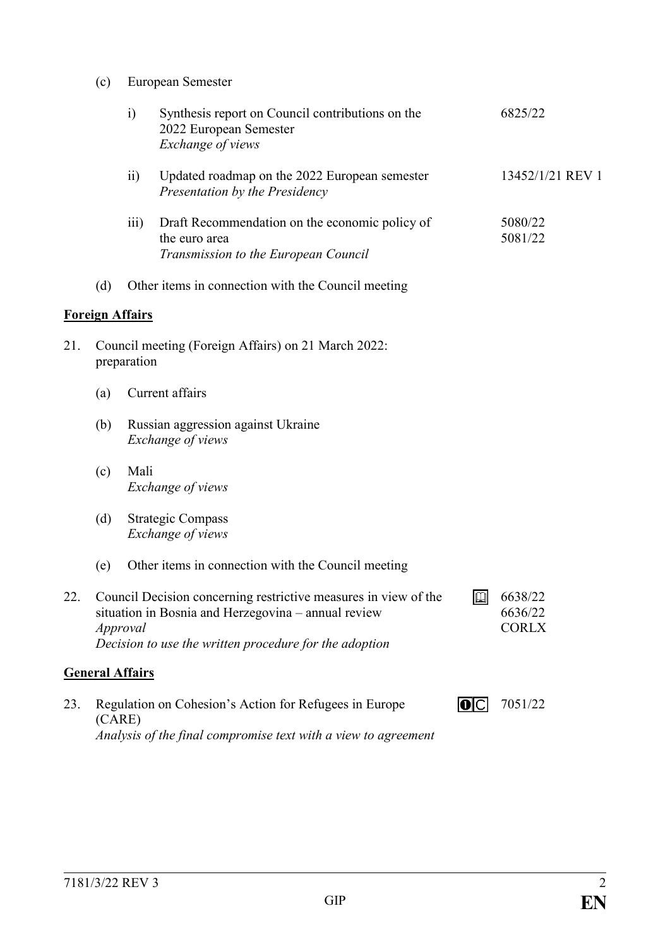(c) European Semester

|     |        | $\ddot{i}$             | Synthesis report on Council contributions on the<br>2022 European Semester<br>Exchange of views                                                                                  |                    | 6825/22                            |
|-----|--------|------------------------|----------------------------------------------------------------------------------------------------------------------------------------------------------------------------------|--------------------|------------------------------------|
|     |        | $\overline{11}$        | Updated roadmap on the 2022 European semester<br>Presentation by the Presidency                                                                                                  |                    | 13452/1/21 REV 1                   |
|     |        | $\overline{iii}$       | Draft Recommendation on the economic policy of<br>the euro area<br>Transmission to the European Council                                                                          |                    | 5080/22<br>5081/22                 |
|     | (d)    |                        | Other items in connection with the Council meeting                                                                                                                               |                    |                                    |
|     |        | <b>Foreign Affairs</b> |                                                                                                                                                                                  |                    |                                    |
| 21. |        | preparation            | Council meeting (Foreign Affairs) on 21 March 2022:                                                                                                                              |                    |                                    |
|     | (a)    |                        | Current affairs                                                                                                                                                                  |                    |                                    |
|     | (b)    |                        | Russian aggression against Ukraine<br>Exchange of views                                                                                                                          |                    |                                    |
|     | (c)    | Mali                   | Exchange of views                                                                                                                                                                |                    |                                    |
|     | (d)    |                        | <b>Strategic Compass</b><br>Exchange of views                                                                                                                                    |                    |                                    |
|     | (e)    |                        | Other items in connection with the Council meeting                                                                                                                               |                    |                                    |
| 22  |        | Approval               | Council Decision concerning restrictive measures in view of the<br>situation in Bosnia and Herzegovina – annual review<br>Decision to use the written procedure for the adoption | $\square$          | 6638/22<br>6636/22<br><b>CORLX</b> |
|     |        | <b>General Affairs</b> |                                                                                                                                                                                  |                    |                                    |
| 23. | (CARE) |                        | Regulation on Cohesion's Action for Refugees in Europe                                                                                                                           | $ 0 \overline{C} $ | 7051/22                            |

*Analysis of the final compromise text with a view to agreement*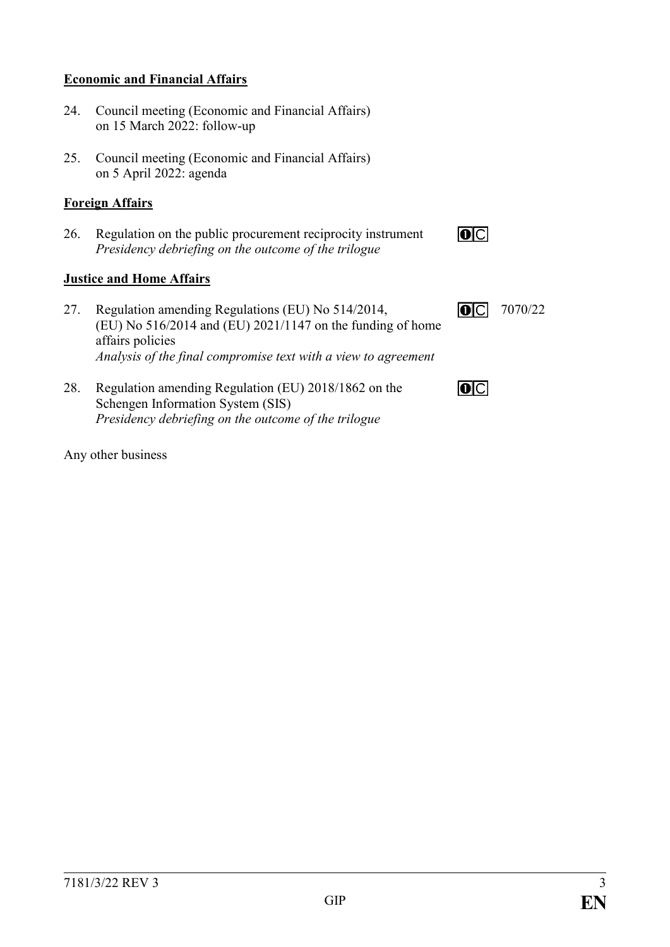#### **Economic and Financial Affairs**

- 24. Council meeting (Economic and Financial Affairs) on 15 March 2022: follow-up
- 25. Council meeting (Economic and Financial Affairs) on 5 April 2022: agenda

#### **Foreign Affairs**

26. Regulation on the public procurement reciprocity instrument *Presidency debriefing on the outcome of the trilogue*

#### **Justice and Home Affairs**

- 27. Regulation amending Regulations (EU) No 514/2014, (EU) No 516/2014 and (EU) 2021/1147 on the funding of home affairs policies *Analysis of the final compromise text with a view to agreement*
- 28. Regulation amending Regulation (EU) 2018/1862 on the Schengen Information System (SIS) *Presidency debriefing on the outcome of the trilogue*

Any other business

| $\overline{\phantom{a}}$ | ı |  |
|--------------------------|---|--|
|                          |   |  |
|                          |   |  |
|                          |   |  |
|                          |   |  |
|                          |   |  |
|                          |   |  |
|                          |   |  |
|                          |   |  |
|                          |   |  |
|                          |   |  |
|                          |   |  |
|                          |   |  |

**o**c



 $\overline{O}$   $\overline{C}$   $\overline{C}$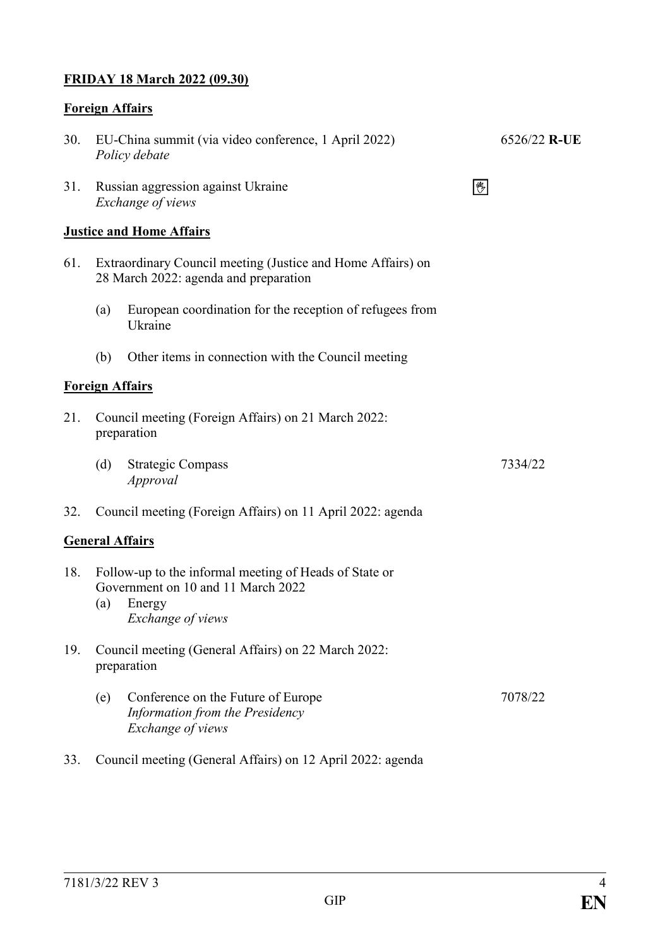## **FRIDAY 18 March 2022 (09.30)**

# **Foreign Affairs**

| 30. | EU-China summit (via video conference, 1 April 2022)<br>Policy debate                                                              |  | 6526/22 R-UE |  |  |  |
|-----|------------------------------------------------------------------------------------------------------------------------------------|--|--------------|--|--|--|
| 31. | Russian aggression against Ukraine<br>Exchange of views                                                                            |  |              |  |  |  |
|     | <b>Justice and Home Affairs</b>                                                                                                    |  |              |  |  |  |
| 61. | Extraordinary Council meeting (Justice and Home Affairs) on<br>28 March 2022: agenda and preparation                               |  |              |  |  |  |
|     | European coordination for the reception of refugees from<br>(a)<br>Ukraine                                                         |  |              |  |  |  |
|     | Other items in connection with the Council meeting<br>(b)                                                                          |  |              |  |  |  |
|     | <b>Foreign Affairs</b>                                                                                                             |  |              |  |  |  |
| 21. | Council meeting (Foreign Affairs) on 21 March 2022:<br>preparation                                                                 |  |              |  |  |  |
|     | (d)<br><b>Strategic Compass</b><br>Approval                                                                                        |  | 7334/22      |  |  |  |
| 32. | Council meeting (Foreign Affairs) on 11 April 2022: agenda                                                                         |  |              |  |  |  |
|     | <b>General Affairs</b>                                                                                                             |  |              |  |  |  |
| 18. | Follow-up to the informal meeting of Heads of State or<br>Government on 10 and 11 March 2022<br>Energy<br>(a)<br>Exchange of views |  |              |  |  |  |
| 19. | Council meeting (General Affairs) on 22 March 2022:<br>preparation                                                                 |  |              |  |  |  |
|     | Conference on the Future of Europe<br>(e)<br>Information from the Presidency<br>Exchange of views                                  |  | 7078/22      |  |  |  |
| 33. | Council meeting (General Affairs) on 12 April 2022: agenda                                                                         |  |              |  |  |  |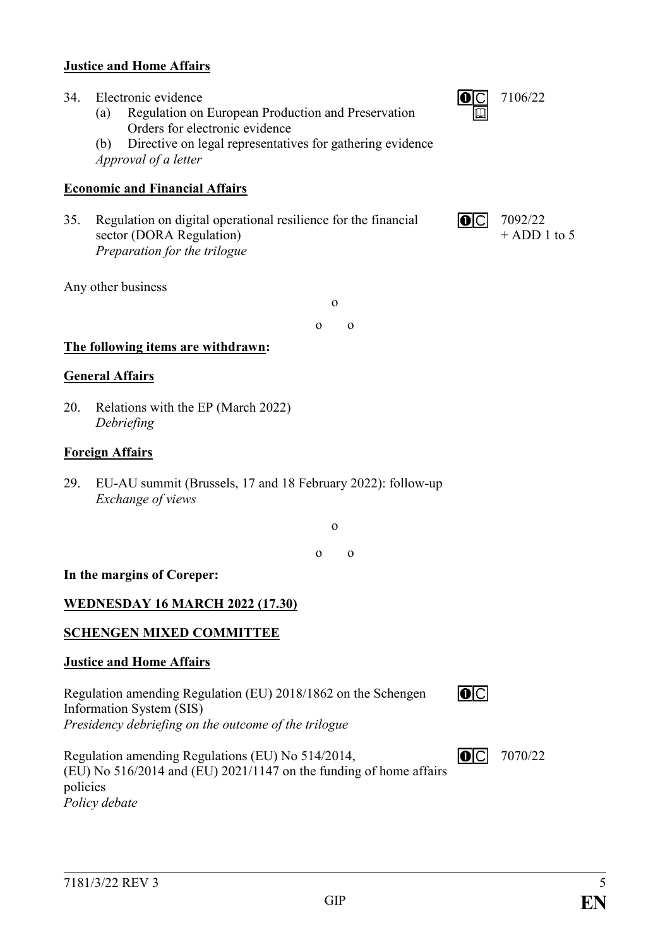#### **Justice and Home Affairs**

- 34. Electronic evidence
	- (a) Regulation on European Production and Preservation Orders for electronic evidence
	- (b) Directive on legal representatives for gathering evidence *Approval of a letter*

#### **Economic and Financial Affairs**

35. Regulation on digital operational resilience for the financial sector (DORA Regulation) *Preparation for the trilogue*

Any other business

o o o

#### **The following items are withdrawn:**

#### **General Affairs**

20. Relations with the EP (March 2022) *Debriefing*

#### **Foreign Affairs**

29. EU-AU summit (Brussels, 17 and 18 February 2022): follow-up *Exchange of views*

o

o o

#### **In the margins of Coreper:**

#### **WEDNESDAY 16 MARCH 2022 (17.30)**

#### **SCHENGEN MIXED COMMITTEE**

#### **Justice and Home Affairs**

Regulation amending Regulation (EU) 2018/1862 on the Schengen Information System (SIS) *Presidency debriefing on the outcome of the trilogue*

Regulation amending Regulations (EU) No 514/2014,  $\overline{O}$   $\overline{C}$   $\overline{C}$ (EU) No 516/2014 and (EU) 2021/1147 on the funding of home affairs policies *Policy debate*

7070/22

 $\overline{O}$ 





7092/22  $+$  ADD 1 to 5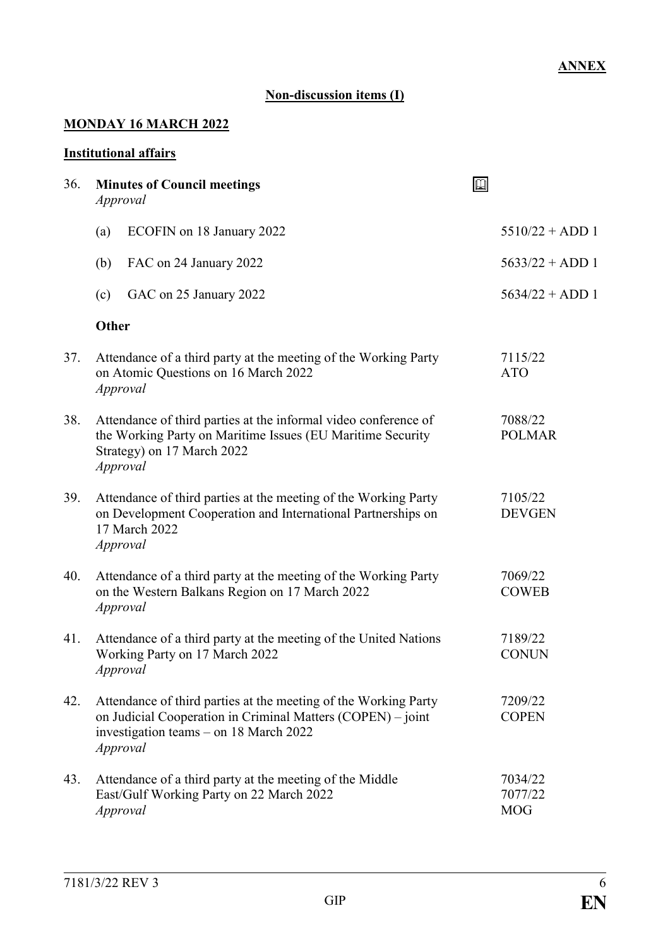## **Non-discussion items (I)**

## **MONDAY 16 MARCH 2022**

#### **Institutional affairs**

| 36. | <b>Minutes of Council meetings</b><br>Approval                                                                                                                                       | $\mathbb{Z}$                     |                   |
|-----|--------------------------------------------------------------------------------------------------------------------------------------------------------------------------------------|----------------------------------|-------------------|
|     | ECOFIN on 18 January 2022<br>(a)                                                                                                                                                     |                                  | $5510/22 + ADD 1$ |
|     | (b)<br>FAC on 24 January 2022                                                                                                                                                        |                                  | $5633/22 + ADD 1$ |
|     | (c)<br>GAC on 25 January 2022                                                                                                                                                        |                                  | $5634/22 + ADD 1$ |
|     | <b>Other</b>                                                                                                                                                                         |                                  |                   |
| 37. | Attendance of a third party at the meeting of the Working Party<br>on Atomic Questions on 16 March 2022<br>Approval                                                                  | 7115/22<br><b>ATO</b>            |                   |
| 38. | Attendance of third parties at the informal video conference of<br>the Working Party on Maritime Issues (EU Maritime Security<br>Strategy) on 17 March 2022<br>Approval              | 7088/22<br><b>POLMAR</b>         |                   |
| 39. | Attendance of third parties at the meeting of the Working Party<br>on Development Cooperation and International Partnerships on<br>17 March 2022<br>Approval                         | 7105/22<br><b>DEVGEN</b>         |                   |
| 40. | Attendance of a third party at the meeting of the Working Party<br>on the Western Balkans Region on 17 March 2022<br>Approval                                                        | 7069/22<br><b>COWEB</b>          |                   |
| 41. | Attendance of a third party at the meeting of the United Nations<br>Working Party on 17 March 2022<br>Approval                                                                       | 7189/22<br><b>CONUN</b>          |                   |
| 42. | Attendance of third parties at the meeting of the Working Party<br>on Judicial Cooperation in Criminal Matters (COPEN) – joint<br>investigation teams – on 18 March 2022<br>Approval | 7209/22<br><b>COPEN</b>          |                   |
| 43. | Attendance of a third party at the meeting of the Middle<br>East/Gulf Working Party on 22 March 2022<br>Approval                                                                     | 7034/22<br>7077/22<br><b>MOG</b> |                   |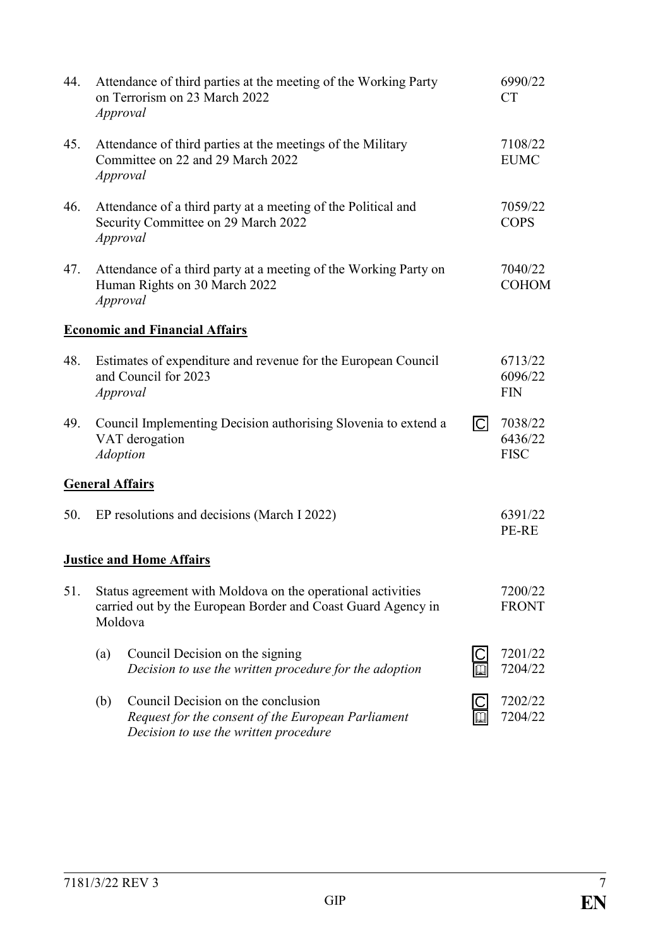| 44. |     | Attendance of third parties at the meeting of the Working Party<br>on Terrorism on 23 March 2022<br>Approval                           |                | 6990/22<br><b>CT</b>              |
|-----|-----|----------------------------------------------------------------------------------------------------------------------------------------|----------------|-----------------------------------|
| 45. |     | Attendance of third parties at the meetings of the Military<br>Committee on 22 and 29 March 2022<br>Approval                           |                | 7108/22<br><b>EUMC</b>            |
| 46. |     | Attendance of a third party at a meeting of the Political and<br>Security Committee on 29 March 2022<br>Approval                       |                | 7059/22<br><b>COPS</b>            |
| 47. |     | Attendance of a third party at a meeting of the Working Party on<br>Human Rights on 30 March 2022<br>Approval                          |                | 7040/22<br><b>COHOM</b>           |
|     |     | <b>Economic and Financial Affairs</b>                                                                                                  |                |                                   |
| 48. |     | Estimates of expenditure and revenue for the European Council<br>and Council for 2023<br>Approval                                      |                | 6713/22<br>6096/22<br><b>FIN</b>  |
| 49. |     | Council Implementing Decision authorising Slovenia to extend a<br>VAT derogation<br><b>Adoption</b>                                    | $\overline{C}$ | 7038/22<br>6436/22<br><b>FISC</b> |
|     |     | <b>General Affairs</b>                                                                                                                 |                |                                   |
| 50. |     | EP resolutions and decisions (March I 2022)                                                                                            |                | 6391/22<br>PE-RE                  |
|     |     | <b>Justice and Home Affairs</b>                                                                                                        |                |                                   |
| 51. |     | Status agreement with Moldova on the operational activities<br>carried out by the European Border and Coast Guard Agency in<br>Moldova |                | 7200/22<br><b>FRONT</b>           |
|     | (a) | Council Decision on the signing<br>Decision to use the written procedure for the adoption                                              |                | 7201/22<br>7204/22                |
|     | (b) | Council Decision on the conclusion<br>Request for the consent of the European Parliament<br>Decision to use the written procedure      |                | 7202/22<br>7204/22                |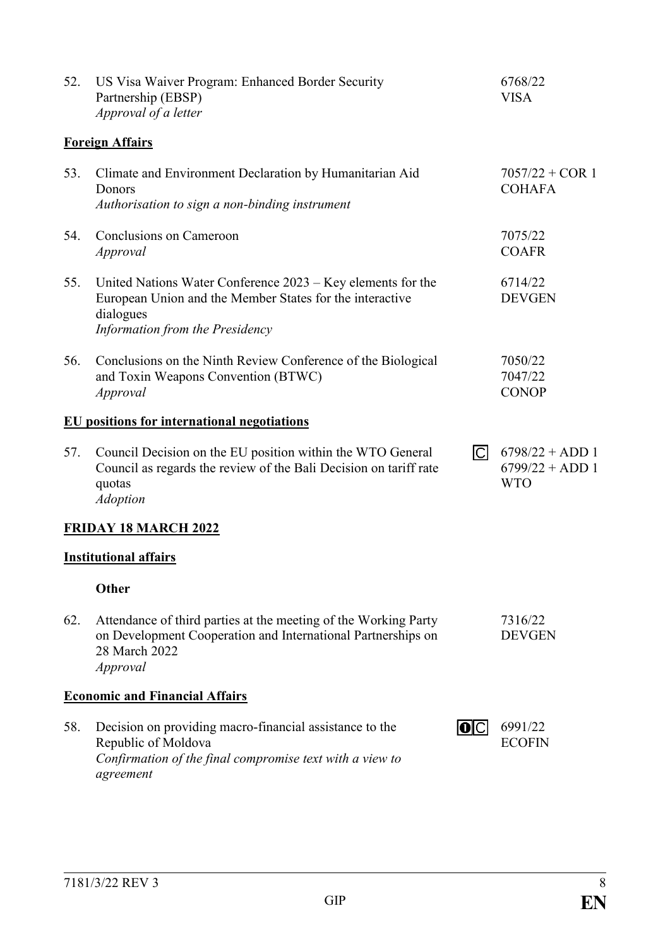| 52. | US Visa Waiver Program: Enhanced Border Security<br>Partnership (EBSP)<br>Approval of a letter                                                                            |                | 6768/22<br><b>VISA</b>                               |
|-----|---------------------------------------------------------------------------------------------------------------------------------------------------------------------------|----------------|------------------------------------------------------|
|     | <b>Foreign Affairs</b>                                                                                                                                                    |                |                                                      |
| 53. | Climate and Environment Declaration by Humanitarian Aid<br>Donors<br>Authorisation to sign a non-binding instrument                                                       |                | $7057/22 + COR$ 1<br><b>COHAFA</b>                   |
| 54. | Conclusions on Cameroon<br>Approval                                                                                                                                       |                | 7075/22<br><b>COAFR</b>                              |
| 55. | United Nations Water Conference $2023 - Key$ elements for the<br>European Union and the Member States for the interactive<br>dialogues<br>Information from the Presidency |                | 6714/22<br><b>DEVGEN</b>                             |
| 56. | Conclusions on the Ninth Review Conference of the Biological<br>and Toxin Weapons Convention (BTWC)<br>Approval                                                           |                | 7050/22<br>7047/22<br><b>CONOP</b>                   |
|     | <b>EU</b> positions for international negotiations                                                                                                                        |                |                                                      |
| 57. | Council Decision on the EU position within the WTO General<br>Council as regards the review of the Bali Decision on tariff rate<br>quotas<br><b>Adoption</b>              | $\overline{C}$ | $6798/22 + ADD 1$<br>$6799/22 + ADD 1$<br><b>WTO</b> |
|     | <b>FRIDAY 18 MARCH 2022</b>                                                                                                                                               |                |                                                      |
|     | <b>Institutional affairs</b>                                                                                                                                              |                |                                                      |
|     | <b>Other</b>                                                                                                                                                              |                |                                                      |
| 62. | Attendance of third parties at the meeting of the Working Party<br>on Development Cooperation and International Partnerships on<br>28 March 2022<br>Approval              |                | 7316/22<br><b>DEVGEN</b>                             |
|     | <b>Economic and Financial Affairs</b>                                                                                                                                     |                |                                                      |
| 58. | Decision on providing macro-financial assistance to the<br>Republic of Moldova<br>Confirmation of the final compromise text with a view to<br>agreement                   | IOICI          | 6991/22<br><b>ECOFIN</b>                             |